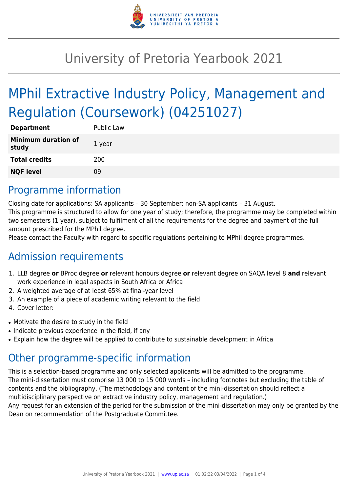

# University of Pretoria Yearbook 2021

# MPhil Extractive Industry Policy, Management and Regulation (Coursework) (04251027)

| <b>Department</b>                   | Public Law |
|-------------------------------------|------------|
| <b>Minimum duration of</b><br>study | 1 year     |
| <b>Total credits</b>                | 200        |
| <b>NQF level</b>                    | 09         |

#### Programme information

Closing date for applications: SA applicants – 30 September; non-SA applicants – 31 August. This programme is structured to allow for one year of study; therefore, the programme may be completed within two semesters (1 year), subject to fulfilment of all the requirements for the degree and payment of the full amount prescribed for the MPhil degree.

Please contact the Faculty with regard to specific regulations pertaining to MPhil degree programmes.

### Admission requirements

- 1. LLB degree **or** BProc degree **or** relevant honours degree **or** relevant degree on SAQA level 8 **and** relevant work experience in legal aspects in South Africa or Africa
- 2. A weighted average of at least 65% at final-year level
- 3. An example of a piece of academic writing relevant to the field
- 4. Cover letter:
- Motivate the desire to study in the field
- Indicate previous experience in the field, if any
- Explain how the degree will be applied to contribute to sustainable development in Africa

## Other programme-specific information

This is a selection-based programme and only selected applicants will be admitted to the programme. The mini-dissertation must comprise 13 000 to 15 000 words – including footnotes but excluding the table of contents and the bibliography. (The methodology and content of the mini-dissertation should reflect a multidisciplinary perspective on extractive industry policy, management and regulation.) Any request for an extension of the period for the submission of the mini-dissertation may only be granted by the

Dean on recommendation of the Postgraduate Committee.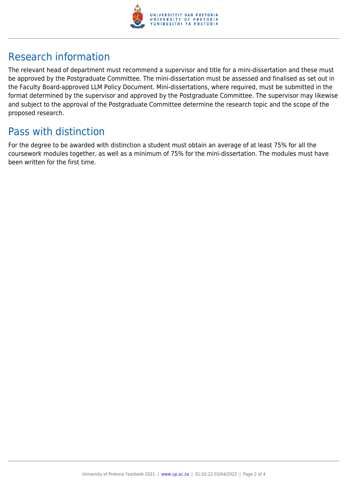

## Research information

The relevant head of department must recommend a supervisor and title for a mini-dissertation and these must be approved by the Postgraduate Committee. The mini-dissertation must be assessed and finalised as set out in the Faculty Board-approved LLM Policy Document. Mini-dissertations, where required, must be submitted in the format determined by the supervisor and approved by the Postgraduate Committee. The supervisor may likewise and subject to the approval of the Postgraduate Committee determine the research topic and the scope of the proposed research.

#### Pass with distinction

For the degree to be awarded with distinction a student must obtain an average of at least 75% for all the coursework modules together, as well as a minimum of 75% for the mini-dissertation. The modules must have been written for the first time.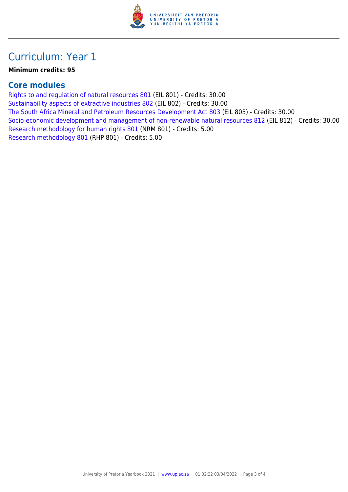

### Curriculum: Year 1

#### **Minimum credits: 95**

#### **Core modules**

[Rights to and regulation of natural resources 801](https://www.up.ac.za/mechanical-and-aeronautical-engineering/yearbooks/2021/modules/view/EIL 801) (EIL 801) - Credits: 30.00 [Sustainability aspects of extractive industries 802](https://www.up.ac.za/mechanical-and-aeronautical-engineering/yearbooks/2021/modules/view/EIL 802) (EIL 802) - Credits: 30.00 [The South Africa Mineral and Petroleum Resources Development Act 803](https://www.up.ac.za/mechanical-and-aeronautical-engineering/yearbooks/2021/modules/view/EIL 803) (EIL 803) - Credits: 30.00 [Socio-economic development and management of non-renewable natural resources 812](https://www.up.ac.za/mechanical-and-aeronautical-engineering/yearbooks/2021/modules/view/EIL 812) (EIL 812) - Credits: 30.00 [Research methodology for human rights 801](https://www.up.ac.za/mechanical-and-aeronautical-engineering/yearbooks/2021/modules/view/NRM 801) (NRM 801) - Credits: 5.00 [Research methodology 801](https://www.up.ac.za/mechanical-and-aeronautical-engineering/yearbooks/2021/modules/view/RHP 801) (RHP 801) - Credits: 5.00